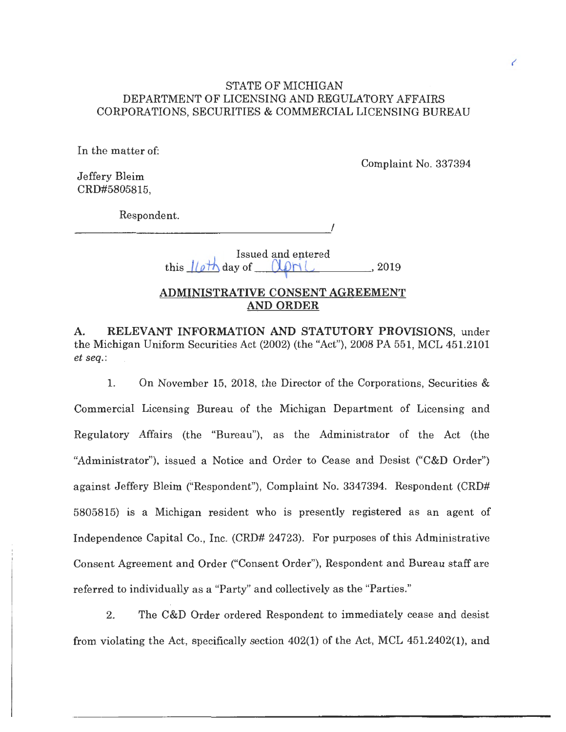### STATE OF MICHIGAN DEPARTMENT OF LICENSING AND REGULATORY AFFAIRS CORPORATIONS, SECURITIES & COMMERCIAL LICENSING BUREAU

In the matter of:

Complaint No. 337394

Jeffery Bleim CRD#5805815,

Respondent.

Issued and entered this  $l/\rho t h$  day of  $(l\rho n l$ . , 2019

- ------------·'

## **ADMINISTRATIVE CONSENT AGREEMENT AND ORDER**

**A. RELEVANT INFORMATION AND STATUTORY PROVISIONS,** under the Michigan Uniform Securities Act (2002) (the "Act"), 2008 PA 551, MCL 451.2101 *et seq.:* 

1. On November 15, 2018, the Director of the Corporations, Securities & Commercial Licensing Bureau of the Michigan Department of Licensing and Regulatory Affairs (the "Bureau"), as the Administrator of the Act (the "Administrator"), issued a Notice and Order to Cease and Desist ("C&D Order") against Jeffery Bleim ("Respondent"), Complaint No. 3347394. Respondent (CRD# 5805815) is a Michigan resident who is presently registered as an agent of Independence Capital Co., Inc. (CRD# 24723). For purposes of this Administrative Consent Agreement and Order ("Consent Order"), Respondent and Bureau staff are referred to individually as a "Party" and collectively as the "Parties."

2. The C&D Order ordered Respondent to immediately cease and desist from violating the Act, specifically section 402(1) of the Act, MCL 451.2402(1), and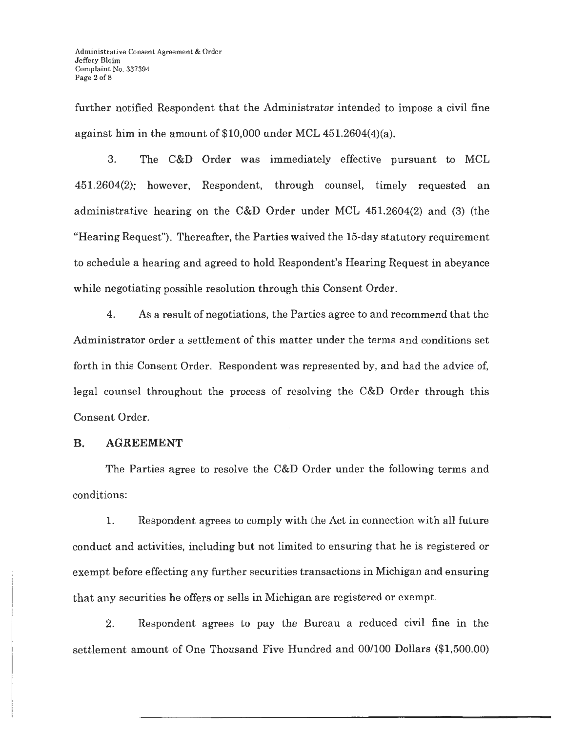further notified Respondent that the Administrator intended to impose a civil fine against him in the amount of \$10,000 under MCL 451.2604(4)(a).

3. The C&D Order was immediately effective pursuant to MCL 451.2604(2); however, Respondent, through counsel, timely requested an administrative hearing on the C&D Order under MCL 451.2604(2) and (3) (the "Hearing Request"). Thereafter, the Parties waived the 15-day statutory requirement to schedule a hearing and agreed to hold Respondent's Hearing Request in abeyance while negotiating possible resolution through this Consent Order.

4. As a result of negotiations, the Parties agree to and recommend that the Administrator order a settlement of this matter under the terms and conditions set forth in this Consent Order. Respondent was represented by, and had the advice of, legal counsel throughout the process of resolving the C&D Order through this Consent Order.

#### **B. AGREEMENT**

The Parties agree to resolve the C&D Order under the following terms and conditions:

1. Respondent agrees to comply with the Act in connection with all future conduct and activities, including but not limited to ensuring that he is registered or exempt before effecting any further securities transactions in Michigan and ensuring that any securities he offers or sells in Michigan are registered or exempt.

2. Respondent agrees to pay the Bureau a reduced civil fine in the settlement amount of One Thousand Five Hundred and 00/100 Dollars (\$1,500.00)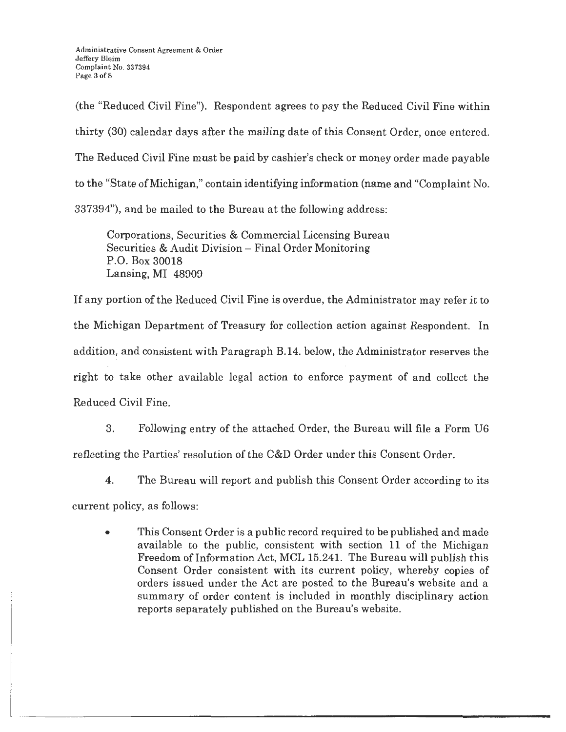(the "Reduced Civil Fine"). Respondent agrees to pay the Reduced Civil Fine within thirty (30) calendar days after the mailing date of this Consent Order, once entered. The Reduced Civil Fine must be paid by cashier's check or money order made payable to the "State of Michigan," contain identifying information (name and "Complaint No. 337394"), and be mailed to the Bureau at the following address:

Corporations, Securities & Commercial Licensing Bureau Securities & Audit Division - Final Order Monitoring P.O. Box 30018 Lansing, MI 48909

If any portion of the Reduced Civil Fine is overdue, the Administrator may refer it to the Michigan Department of Treasury for collection action against Respondent. In addition, and consistent with Paragraph B.14. below, the Administrator reserves the right to take other available legal action to enforce payment of and collect the Reduced Civil Fine.

3. Following entry of the attached Order, the Bureau will file a Form U6 reflecting the Parties' resolution of the C&D Order under this Consent Order.

4. The Bureau will report and publish this Consent Order according to its

current policy, as follows:

• This Consent Order is a public record required to be published and made available to the public, consistent with section 11 of the Michigan Freedom of Information Act, MCL 15.241. The Bureau will publish this Consent Order consistent with its current policy, whereby copies of orders issued under the Act are posted to the Bureau's website and a summary of order content is included in monthly disciplinary action reports separately published on the Bureau's website.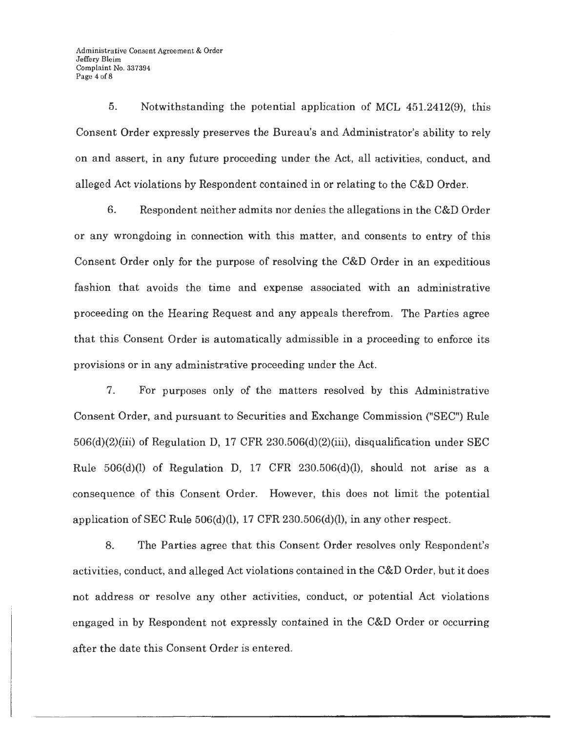5. Notwithstanding the potential application of MCL 451.2412(9), this Consent Order expressly preserves the Bureau's and Administrator's ability to rely on and assert, in any future proceeding under the Act, all activities, conduct, and alleged Act violations by Respondent contained in or relating to the C&D Order.

6. Respondent neither admits nor denies the allegations in the C&D Order or any wrongdoing in connection with this matter, and consents to entry of this Consent Order only for the purpose of resolving the C&D Order in an expeditious fashion that avoids the time and expense associated with an administrative proceeding on the Hearing Request and any appeals therefrom. The Parties agree that this Consent Order is automatically admissible in a proceeding to enforce its provisions or in any administrative proceeding under the Act.

7. For purposes only of the matters resolved by this Administrative Consent Order, and pursuant to Securities and Exchange Commission ("SEC") Rule 506(d)(2)(iii) of Regulation D, 17 CFR 230.506(d)(2)(iii), disqualification under SEC Rule  $506(d)(l)$  of Regulation D, 17 CFR 230.506(d)(l), should not arise as a consequence of this Consent Order. However, this does not limit the potential application of SEC Rule 506(d)(l), 17 CFR 230.506(d)(l), in any other respect.

8. The Parties agree that this Consent Order resolves only Respondent's activities, conduct, and alleged Act violations contained in the C&D Order, but it does not address or resolve any other activities, conduct, or potential Act violations engaged in by Respondent not expressly contained in the C&D Order or occurring after the date this Consent Order is entered.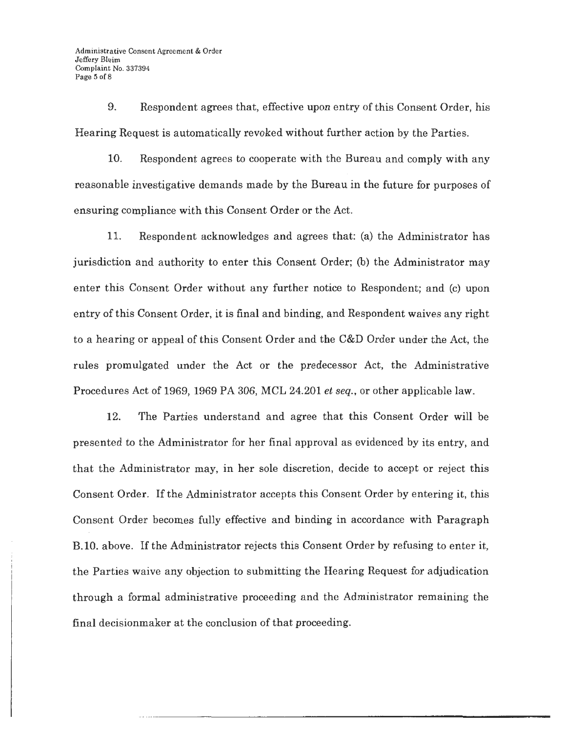9. Respondent agrees that, effective upon entry of this Consent Order, his Hearing Request is automatically revoked without further action by the Parties.

10. Respondent agrees to cooperate with the Bureau and comply with any reasonable investigative demands made by the Bureau in the future for purposes of ensuring compliance with this Consent Order or the Act.

11. Respondent acknowledges and agrees that: (a) the Administrator has jurisdiction and authority to enter this Consent Order; (b) the Administrator may enter this Consent Order without any further notice to Respondent; and (c) upon entry of this Consent Order, it is final and binding, and Respondent waives any right to a hearing or appeal of this Consent Order and the C&D Order under the Act, the rules promulgated under the Act or the predecessor Act, the Administrative Procedures Act of 1969, 1969 PA 306, MCL 24.201 *et seq.,* or other applicable law.

12. The Parties understand and agree that this Consent Order will be presented to the Administrator for her final approval as evidenced by its entry, and that the Administrator may, in her sole discretion, decide to accept or reject this Consent Order. If the Administrator accepts this Consent Order by entering it, this Consent Order becomes fully effective and binding in accordance with Paragraph B.10. above. If the Administrator rejects this Consent Order by refusing to enter it, the Parties waive any objection to submitting the Hearing Request for adjudication through a formal administrative proceeding and the Administrator remaining the final decisionmaker at the conclusion of that proceeding.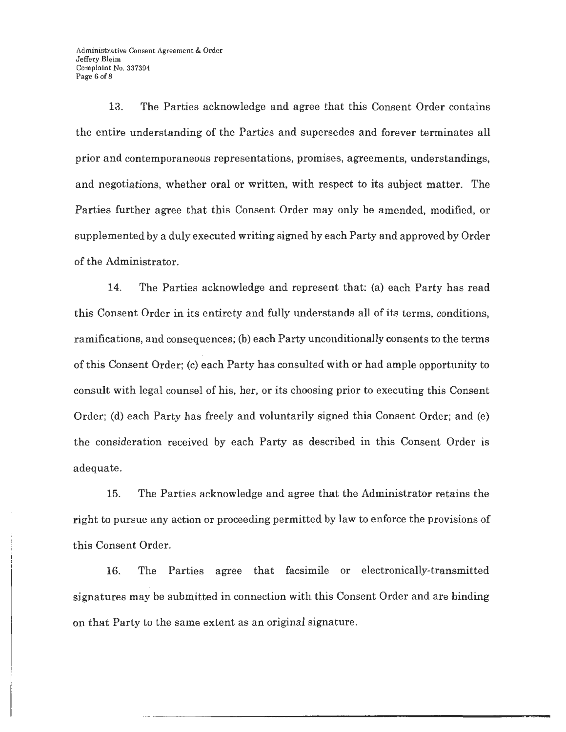13. The Parties acknowledge and agree that this Consent Order contains the entire understanding of the Parties and supersedes and forever terminates all prior and contemporaneous representations, promises, agreements, understandings, and negotiations, whether oral or written, with respect to its subject matter. The Parties further agree that this Consent Order may only be amended, modified, or supplemented by a duly executed writing signed by each Party and approved by Order of the Administrator.

14. The Parties acknowledge and represent that: (a) each Party has read this Consent Order in its entirety and fully understands all of its terms, conditions, ramifications, and consequences; (b) each Party unconditionally consents to the terms of this Consent Order; (c) each Party has consulted with or had ample opportunity to consult with legal counsel of his, her, or its choosing prior to executing this Consent Order; (d) each Party has freely and voluntarily signed this Consent Order; and (e) the consideration received by each Party as described in this Consent Order is adequate.

15. The Parties acknowledge and agree that the Administrator retains the right to pursue any action or proceeding permitted by law to enforce the provisions of this Consent Order.

16. The Parties agree that facsimile or electronically-transmitted signatures may be submitted in connection with this Consent Order and are binding on that Party to the same extent as an original signature.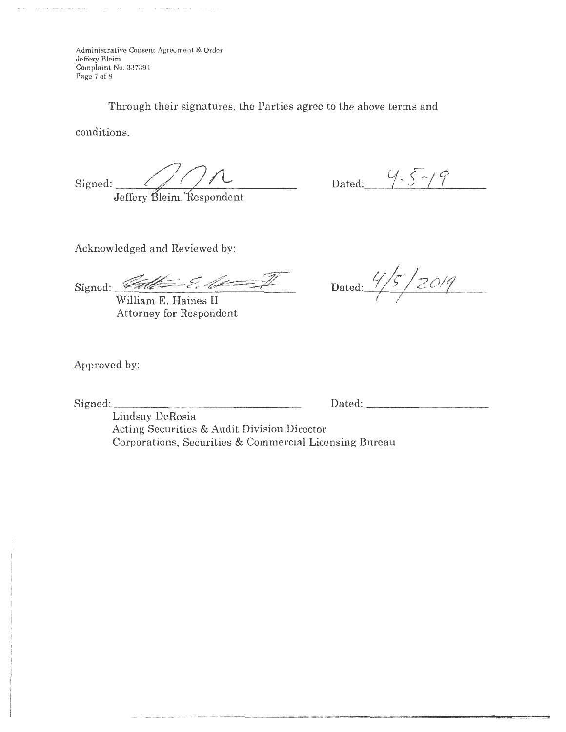Administrative Consent Agreement & Order Jeffery Bleim Complaint No. 337394 Page 7 of 8

Through their signatures, the Parties agree to the above terms and

conditions.

 $Signed: 2011$ 

Jeffery Bleim, Respondent

Dated:  $4.5-19$ 

Acknowledged and Reviewed by:

 $\frac{64}{\text{William E. Haines II}}$  Dated:  $\frac{4}{5}$  / 2019

William E. Haines II Attorney for Respondent

Approved by:

Signed: \_\_\_\_\_\_\_\_\_\_\_\_\_\_\_\_ Dated: \_\_\_\_ \_\_\_\_\_ \_

Lindsay DeRosia Acting Securities & Audit Division Director Corporations, Securities & Commercial Licensing Bureau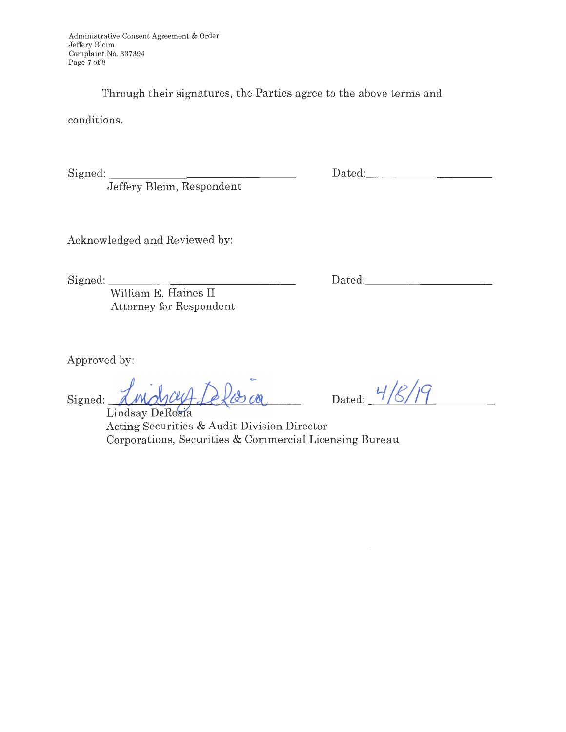Through their signatures, the Parties agree to the above terms and

conditions.

Signed:

Jeffery Bleim, Respondent

Dated: \_\_\_\_\_\_\_\_\_ \_

Acknowledged and Reviewed by:

Signed: \_\_\_\_\_\_\_\_\_\_\_\_\_\_\_ \_

Dated:

William E. Haines II Attorney for Respondent

Approved by:

Signed: <u>*<u>AMAYCLU</u>*</u><br>Lindsay DeRosia

Dated:  $\frac{4}{8}$ /19

Acting Securities & Audit Division Director Corporations, Securities & Commercial Licensing Bureau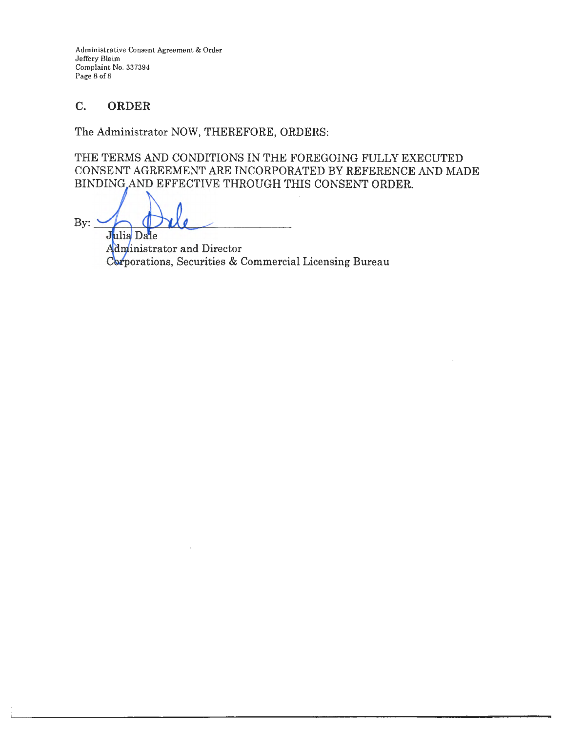Administrative Consent Agreement & Order Jeffery Bleim Complaint No. 337394 Page 8 of 8

# C. **ORDER**

The Administrator NOW, THEREFORE, ORDERS:

THE TERMS AND CONDITIONS IN THE FOREGOING FULLY EXECUTED CONSENT AGREEMENT ARE INCORPORATED BY REFERENCE AND MADE BINDING AND EFFECTIVE THROUGH THIS CONSENT ORDER.

 $By: \Delta$ Julia Dale

Administrator and Director Corporations, Securities & Commercial Licensing Bureau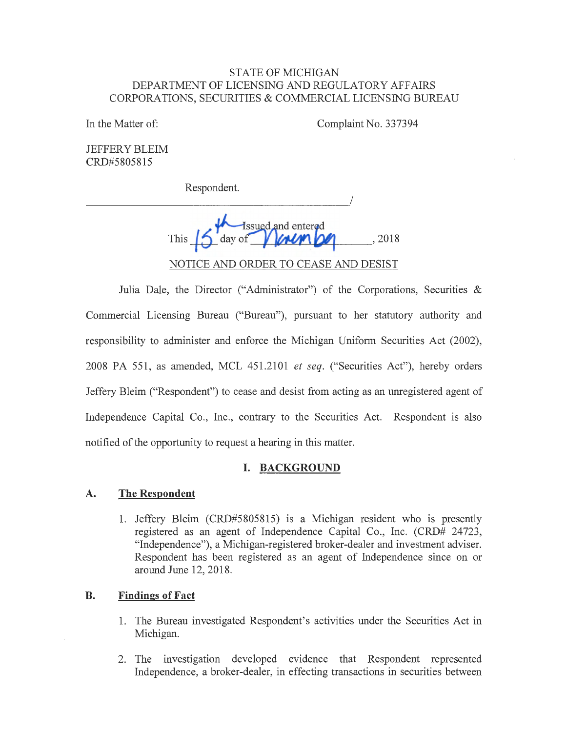### STATE OF MICHIGAN DEPARTMENT OF LICENSING AND REGULATORY AFFAIRS CORPORATIONS, SECURITIES & COMMERCIAL LICENSING BUREAU

In the Matter of:

Complaint No. 337394

JEFFERY BLEIM CRD#5805815

Respondent.

I ---------------------This **15** day of **1 AMPLICE** ... , 2018 NOTICE AND ORDER TO CEASE AND DESIST

Julia Dale, the Director ("Administrator") of the Corporations, Securities & Commercial Licensing Bureau ("Bureau"), pursuant to her statutory authority and responsibility to administer and enforce the Michigan Uniform Securities Act (2002), 2008 PA 551 , as amended, MCL 451.2101 *et seq.* ("Securities Act"), hereby orders Jeffery Bleim ("Respondent") to cease and desist from acting as an unregistered agent of Independence Capital Co., Inc., contrary to the Securities Act. Respondent is also notified of the opportunity to request a hearing in this matter.

# **I. BACKGROUND**

### **A. The Respondent**

1. Jeffery Bleim (CRD#5805815) is a Michigan resident who is presently registered as an agent of Independence Capital Co., Inc. (CRD# 24723, "Independence"), a Michigan-registered broker-dealer and investment adviser. Respondent has been registered as an agent of Independence since on or around June 12, 2018.

### **B. Findings of Fact**

- 1. The Bureau investigated Respondent's activities under the Securities Act in Michigan.
- 2. The investigation developed evidence that Respondent represented Independence, a broker-dealer, in effecting transactions in securities between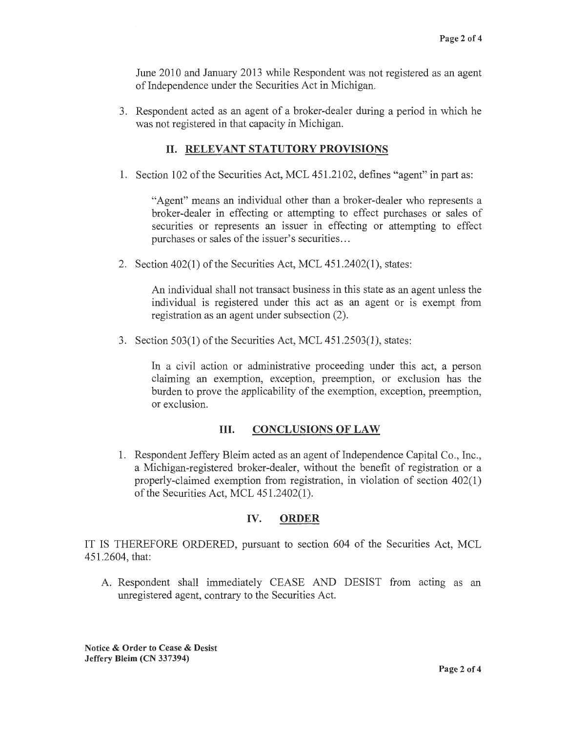June 2010 and January 2013 while Respondent was not registered as an agent of Independence under the Securities Act in Michigan.

3. Respondent acted as an agent of a broker-dealer during a period in which he was not registered in that capacity in Michigan.

# **II. RELEVANT STATUTORY PROVISIONS**

1. Section 102 of the Securities Act, MCL 451.2102, defines "agent" in part as:

"Agent" means an individual other than a broker-dealer who represents a broker-dealer in effecting or attempting to effect purchases or sales of securities or represents an issuer in effecting or attempting to effect purchases or sales of the issuer's securities ...

2. Section 402(1) of the Securities Act, MCL 451.2402(1), states:

An individual shall not transact business in this state as an agent unless the individual is registered under this act as an agent or is exempt from registration as an agent under subsection (2).

3. Section 503(1) of the Securities Act, MCL 451.2503(1), states:

In a civil action or administrative proceeding under this act, a person claiming an exemption, exception, preemption, or exclusion has the burden to prove the applicability of the exemption, exception, preemption, or exclusion.

# **III. CONCLUSIONS OF LAW**

1. Respondent Jeffery Bleim acted as an agent of Independence Capital Co., Inc., a Michigan-registered broker-dealer, without the benefit of registration or a properly-claimed exemption from registration, in violation of section 402(1) of the Securities Act, MCL 451.2402(1).

# **IV. ORDER**

IT IS THEREFORE ORDERED, pursuant to section 604 of the Securities Act, MCL 451.2604, that:

A. Respondent shall immediately CEASE AND DESIST from acting as an unregistered agent, contrary to the Securities Act.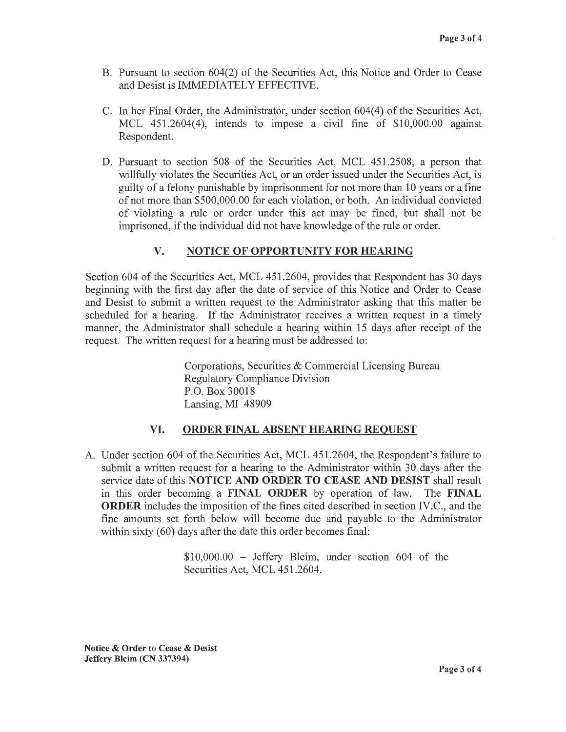- B. Pursuant to section 604(2) of the Securities Act, this Notice and Order to Cease and Desist is IMMEDIATELY EFFECTIVE.
- C. In her Final Order, the Administrator, under section  $604(4)$  of the Securities Act, MCL 451.2604(4), intends to impose a civil fine of \$10,000.00 against Respondent.
- D. Pursuant to section 508 of the Securities Act, MCL 451.2508, a person that willfully violates the Securities Act, or an order issued under the Securities Act, is guilty of a felony punishable by imprisonment for not more than 10 years or a fine of not more than \$500,000.00 for each violation, or both. An individual convicted of violating a rule or order under this act may be fined, but shall not be imprisoned, if the individual did not have knowledge of the rule or order.

# **V. NOTICE OF OPPORTUNITY FOR HEARING**

Section 604 of the Securities Act, MCL 451.2604, provides that Respondent has 30 days beginning with the 'first day after the date of service of this Notice and Order to Cease and Desist to submit a written request to the Administrator asking that this matter be scheduled for a hearing. If the Administrator receives a written request in a timely manner, the Administrator shall schedule a hearing within 15 days after receipt of the request. The written request for a hearing must be addressed to:

> Corporations, Securities & Commercial Licensing Bureau Regulatory Compliance Division P.O. Box 30018 Lansing, MI 48909

#### **VI. ORDER FINAL ABSENT HEARING REQUEST**

A. Under section 604 of the Securities Act, MCL 451.2604, the Respondent's failure to submit a written request for a hearing to the Administrator within 30 days after the service date of this **NOTICE AND ORDER TO CEASE AND DESIST** shall result in this order becoming a **FINAL ORDER** by operation of law. The **FINAL ORDER** includes the imposition of the fines cited described in section IV.C., and the fine amounts set forth below will become due and payable to the Administrator within sixty (60) days after the date this order becomes final:

> \$10,000.00 - Jeffery Bleim, under section 604 of the Securities Act, MCL 451.2604.